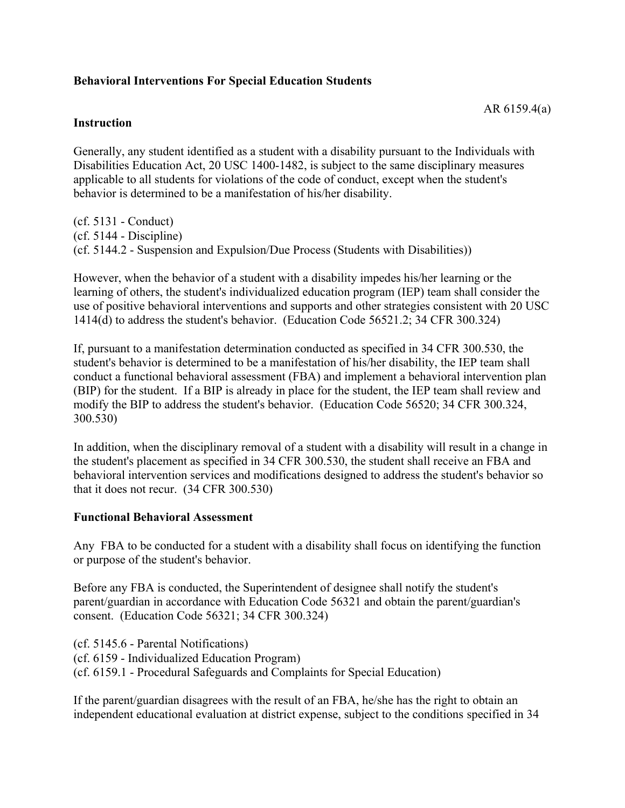## **Behavioral Interventions For Special Education Students**

### **Instruction**

Generally, any student identified as a student with a disability pursuant to the Individuals with Disabilities Education Act, 20 USC 1400-1482, is subject to the same disciplinary measures applicable to all students for violations of the code of conduct, except when the student's behavior is determined to be a manifestation of his/her disability.

(cf. 5131 - Conduct) (cf. 5144 - Discipline) (cf. 5144.2 - Suspension and Expulsion/Due Process (Students with Disabilities))

However, when the behavior of a student with a disability impedes his/her learning or the learning of others, the student's individualized education program (IEP) team shall consider the use of positive behavioral interventions and supports and other strategies consistent with 20 USC 1414(d) to address the student's behavior. (Education Code 56521.2; 34 CFR 300.324)

If, pursuant to a manifestation determination conducted as specified in 34 CFR 300.530, the student's behavior is determined to be a manifestation of his/her disability, the IEP team shall conduct a functional behavioral assessment (FBA) and implement a behavioral intervention plan (BIP) for the student. If a BIP is already in place for the student, the IEP team shall review and modify the BIP to address the student's behavior. (Education Code 56520; 34 CFR 300.324, 300.530)

In addition, when the disciplinary removal of a student with a disability will result in a change in the student's placement as specified in 34 CFR 300.530, the student shall receive an FBA and behavioral intervention services and modifications designed to address the student's behavior so that it does not recur. (34 CFR 300.530)

### **Functional Behavioral Assessment**

Any FBA to be conducted for a student with a disability shall focus on identifying the function or purpose of the student's behavior.

Before any FBA is conducted, the Superintendent of designee shall notify the student's parent/guardian in accordance with Education Code 56321 and obtain the parent/guardian's consent. (Education Code 56321; 34 CFR 300.324)

(cf. 5145.6 - Parental Notifications) (cf. 6159 - Individualized Education Program) (cf. 6159.1 - Procedural Safeguards and Complaints for Special Education)

If the parent/guardian disagrees with the result of an FBA, he/she has the right to obtain an independent educational evaluation at district expense, subject to the conditions specified in 34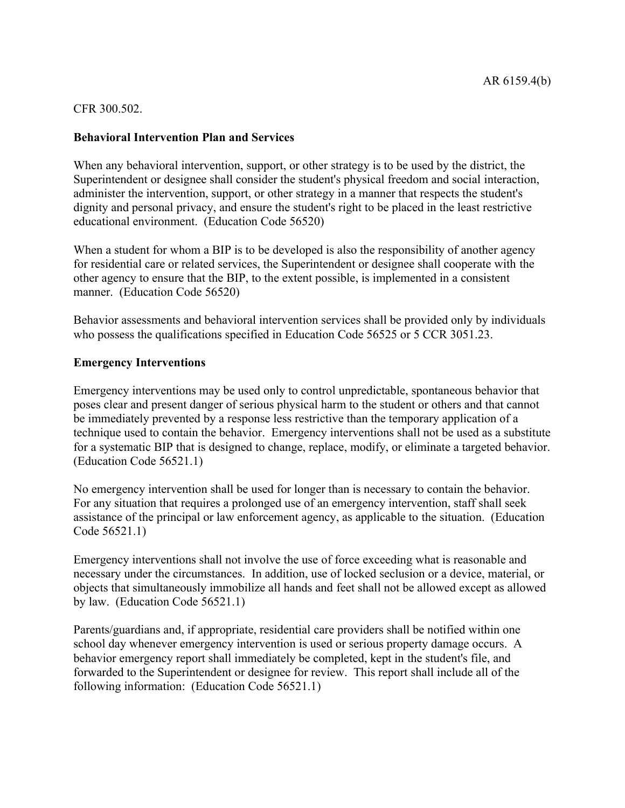CFR 300.502.

## **Behavioral Intervention Plan and Services**

When any behavioral intervention, support, or other strategy is to be used by the district, the Superintendent or designee shall consider the student's physical freedom and social interaction, administer the intervention, support, or other strategy in a manner that respects the student's dignity and personal privacy, and ensure the student's right to be placed in the least restrictive educational environment. (Education Code 56520)

When a student for whom a BIP is to be developed is also the responsibility of another agency for residential care or related services, the Superintendent or designee shall cooperate with the other agency to ensure that the BIP, to the extent possible, is implemented in a consistent manner. (Education Code 56520)

Behavior assessments and behavioral intervention services shall be provided only by individuals who possess the qualifications specified in Education Code 56525 or 5 CCR 3051.23.

### **Emergency Interventions**

Emergency interventions may be used only to control unpredictable, spontaneous behavior that poses clear and present danger of serious physical harm to the student or others and that cannot be immediately prevented by a response less restrictive than the temporary application of a technique used to contain the behavior. Emergency interventions shall not be used as a substitute for a systematic BIP that is designed to change, replace, modify, or eliminate a targeted behavior. (Education Code 56521.1)

No emergency intervention shall be used for longer than is necessary to contain the behavior. For any situation that requires a prolonged use of an emergency intervention, staff shall seek assistance of the principal or law enforcement agency, as applicable to the situation. (Education Code 56521.1)

Emergency interventions shall not involve the use of force exceeding what is reasonable and necessary under the circumstances. In addition, use of locked seclusion or a device, material, or objects that simultaneously immobilize all hands and feet shall not be allowed except as allowed by law. (Education Code 56521.1)

Parents/guardians and, if appropriate, residential care providers shall be notified within one school day whenever emergency intervention is used or serious property damage occurs. A behavior emergency report shall immediately be completed, kept in the student's file, and forwarded to the Superintendent or designee for review. This report shall include all of the following information: (Education Code 56521.1)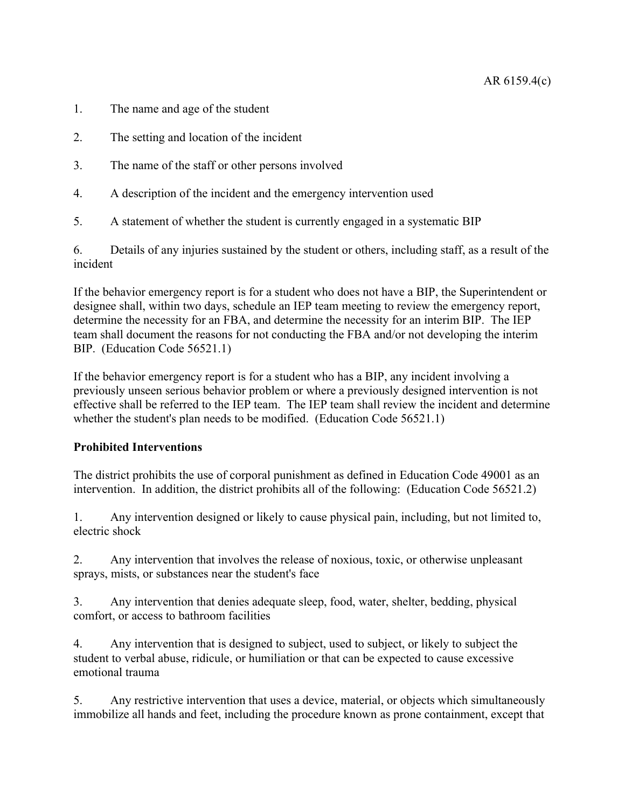- 1. The name and age of the student
- 2. The setting and location of the incident
- 3. The name of the staff or other persons involved
- 4. A description of the incident and the emergency intervention used
- 5. A statement of whether the student is currently engaged in a systematic BIP

6. Details of any injuries sustained by the student or others, including staff, as a result of the incident

If the behavior emergency report is for a student who does not have a BIP, the Superintendent or designee shall, within two days, schedule an IEP team meeting to review the emergency report, determine the necessity for an FBA, and determine the necessity for an interim BIP. The IEP team shall document the reasons for not conducting the FBA and/or not developing the interim BIP. (Education Code 56521.1)

If the behavior emergency report is for a student who has a BIP, any incident involving a previously unseen serious behavior problem or where a previously designed intervention is not effective shall be referred to the IEP team. The IEP team shall review the incident and determine whether the student's plan needs to be modified. (Education Code 56521.1)

# **Prohibited Interventions**

The district prohibits the use of corporal punishment as defined in Education Code 49001 as an intervention. In addition, the district prohibits all of the following: (Education Code 56521.2)

1. Any intervention designed or likely to cause physical pain, including, but not limited to, electric shock

2. Any intervention that involves the release of noxious, toxic, or otherwise unpleasant sprays, mists, or substances near the student's face

3. Any intervention that denies adequate sleep, food, water, shelter, bedding, physical comfort, or access to bathroom facilities

4. Any intervention that is designed to subject, used to subject, or likely to subject the student to verbal abuse, ridicule, or humiliation or that can be expected to cause excessive emotional trauma

5. Any restrictive intervention that uses a device, material, or objects which simultaneously immobilize all hands and feet, including the procedure known as prone containment, except that